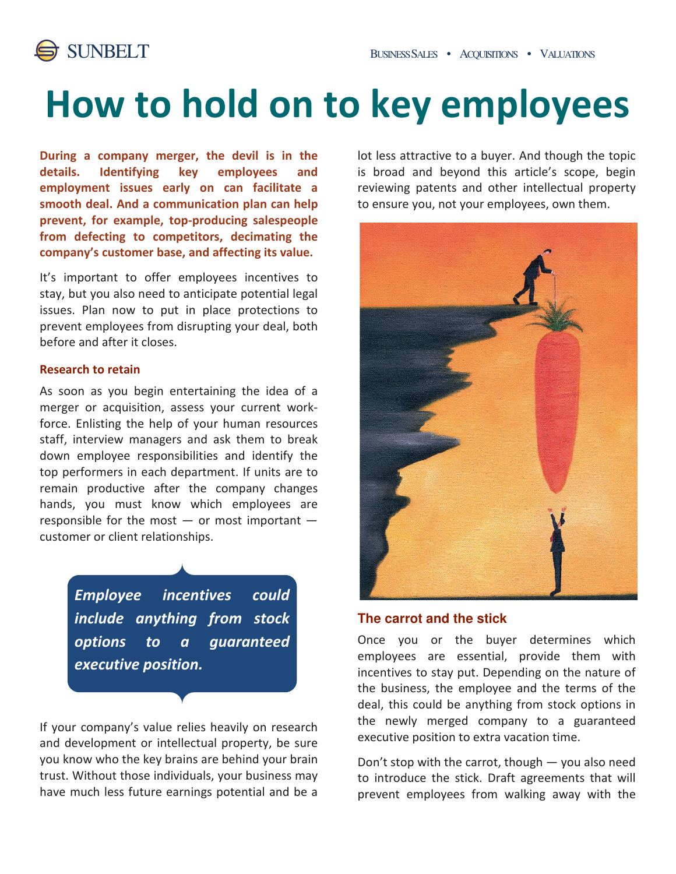

# How to hold on to key employees

During a company merger, the devil is in the details. Identifying key employees and employment issues early on can facilitate a smooth deal. And a communication plan can help prevent, for example, top-producing salespeople from defecting to competitors, decimating the company's customer base, and affecting its value.

It's important to offer employees incentives to stay, but you also need to anticipate potential legal issues. Plan now to put in place protections to prevent employees from disrupting your deal, both before and after it closes.

#### Research to retain

As soon as you begin entertaining the idea of a merger or acquisition, assess your current workforce. Enlisting the help of your human resources staff, interview managers and ask them to break down employee responsibilities and identify the top performers in each department. If units are to remain productive after the company changes hands, you must know which employees are responsible for the most  $-$  or most important  $$ customer or client relationships.

> Employee incentives could include anything from stock options to a guaranteed executive position.

If your company's value relies heavily on research and development or intellectual property, be sure you know who the key brains are behind your brain trust. Without those individuals, your business may have much less future earnings potential and be a

lot less attractive to a buyer. And though the topic is broad and beyond this article's scope, begin reviewing patents and other intellectual property to ensure you, not your employees, own them.



### **The carrot and the stick**

Once you or the buyer determines which employees are essential, provide them with incentives to stay put. Depending on the nature of the business, the employee and the terms of the deal, this could be anything from stock options in the newly merged company to a guaranteed executive position to extra vacation time.

Don't stop with the carrot, though  $-$  you also need to introduce the stick. Draft agreements that will prevent employees from walking away with the